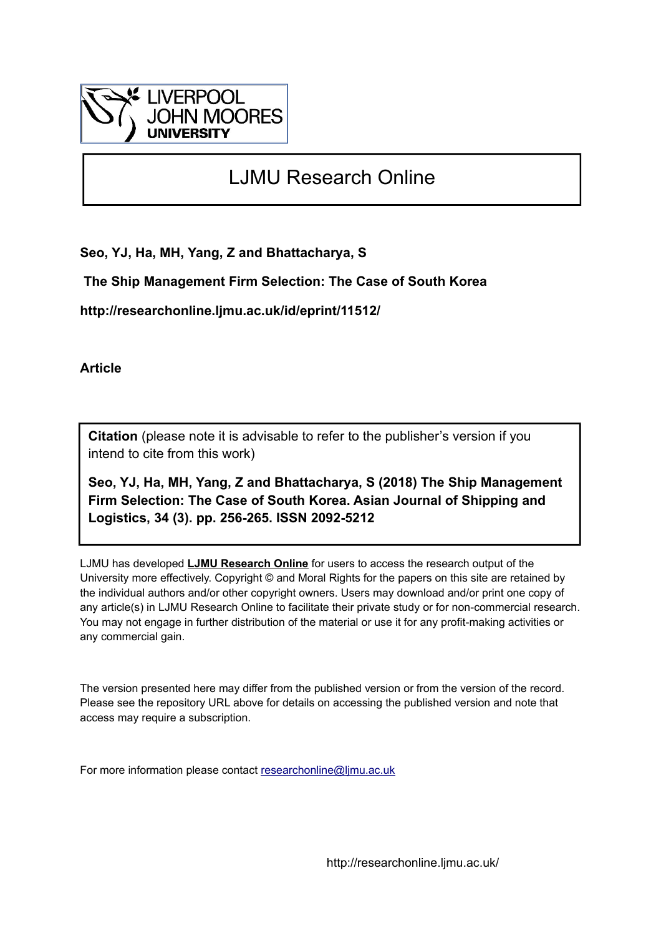

# LJMU Research Online

**Seo, YJ, Ha, MH, Yang, Z and Bhattacharya, S**

 **The Ship Management Firm Selection: The Case of South Korea**

**http://researchonline.ljmu.ac.uk/id/eprint/11512/**

**Article**

**Citation** (please note it is advisable to refer to the publisher's version if you intend to cite from this work)

**Seo, YJ, Ha, MH, Yang, Z and Bhattacharya, S (2018) The Ship Management Firm Selection: The Case of South Korea. Asian Journal of Shipping and Logistics, 34 (3). pp. 256-265. ISSN 2092-5212** 

LJMU has developed **[LJMU Research Online](http://researchonline.ljmu.ac.uk/)** for users to access the research output of the University more effectively. Copyright © and Moral Rights for the papers on this site are retained by the individual authors and/or other copyright owners. Users may download and/or print one copy of any article(s) in LJMU Research Online to facilitate their private study or for non-commercial research. You may not engage in further distribution of the material or use it for any profit-making activities or any commercial gain.

The version presented here may differ from the published version or from the version of the record. Please see the repository URL above for details on accessing the published version and note that access may require a subscription.

For more information please contact [researchonline@ljmu.ac.uk](mailto:researchonline@ljmu.ac.uk)

http://researchonline.ljmu.ac.uk/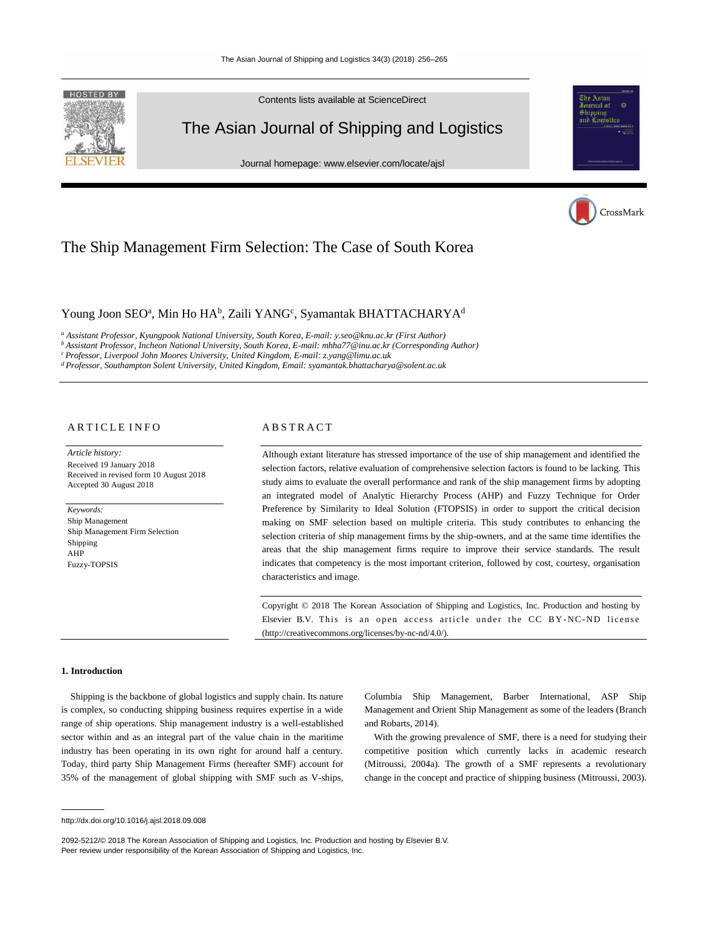

Contents lists available at ScienceDirect

# The Asian Journal of Shipping and Logistics

Journal homepage: www.elsevier.com/locate/ajsl



# The Ship Management Firm Selection: The Case of South Korea

# Young Joon SEO<sup>a</sup>, Min Ho HA<sup>b</sup>, Zaili YANG<sup>c</sup>, Syamantak BHATTACHARYA<sup>d</sup>

*a Assistant Professor, Kyungpook National University, South Korea, E-mail: y.seo@knu.ac.kr (First Author)*

*b Assistant Professor, Incheon National University, South Korea, E-mail: mhha77@inu.ac.kr (Corresponding Author)* 

*c Professor, Liverpool John Moores University, United Kingdom, E-mail: z.yang@limu.ac.uk* 

*d Professor, Southampton Solent University, United Kingdom, Email: syamantak.bhattacharya@solent.ac.uk*

# ARTICLE INFO

*Article history:*  Received 19 January 2018 Received in revised form 10 August 2018 Accepted 30 August 2018

*Keywords:*  Ship Management Ship Management Firm Selection Shipping AHP Fuzzy-TOPSIS

# A B S T R A C T

Although extant literature has stressed importance of the use of ship management and identified the selection factors, relative evaluation of comprehensive selection factors is found to be lacking. This study aims to evaluate the overall performance and rank of the ship management firms by adopting an integrated model of Analytic Hierarchy Process (AHP) and Fuzzy Technique for Order Preference by Similarity to Ideal Solution (FTOPSIS) in order to support the critical decision making on SMF selection based on multiple criteria. This study contributes to enhancing the selection criteria of ship management firms by the ship-owners, and at the same time identifies the areas that the ship management firms require to improve their service standards. The result indicates that competency is the most important criterion, followed by cost, courtesy, organisation characteristics and image.

Copyright © 2018 The Korean Association of Shipping and Logistics, Inc. Production and hosting by Elsevier B.V. This is an open access article under the CC BY-NC-ND license (http://creativecommons.org/licenses/by-nc-nd/4.0/).

#### **1. Introduction**

Shipping is the backbone of global logistics and supply chain. Its nature is complex, so conducting shipping business requires expertise in a wide range of ship operations. Ship management industry is a well-established sector within and as an integral part of the value chain in the maritime industry has been operating in its own right for around half a century. Today, third party Ship Management Firms (hereafter SMF) account for 35% of the management of global shipping with SMF such as V-ships, Columbia Ship Management, Barber International, ASP Ship Management and Orient Ship Management as some of the leaders (Branch and Robarts, 2014).

With the growing prevalence of SMF, there is a need for studying their competitive position which currently lacks in academic research (Mitroussi, 2004a). The growth of a SMF represents a revolutionary change in the concept and practice of shipping business (Mitroussi, 2003).

http://dx.doi.org/10.1016/j.ajsl.2018.09.008

<sup>2092-5212/© 2018</sup> The Korean Association of Shipping and Logistics, Inc. Production and hosting by Elsevier B.V. Peer review under responsibility of the Korean Association of Shipping and Logistics, Inc.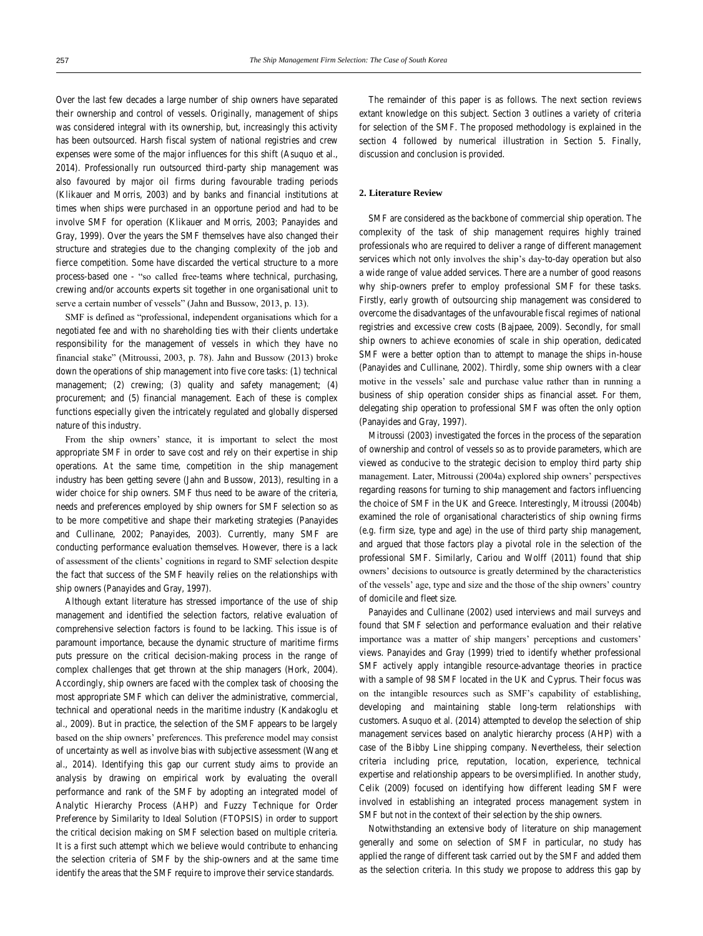Over the last few decades a large number of ship owners have separated their ownership and control of vessels. Originally, management of ships was considered integral with its ownership, but, increasingly this activity has been outsourced. Harsh fiscal system of national registries and crew expenses were some of the major influences for this shift (Asuquo et al., 2014). Professionally run outsourced third-party ship management was also favoured by major oil firms during favourable trading periods (Klikauer and Morris, 2003) and by banks and financial institutions at times when ships were purchased in an opportune period and had to be involve SMF for operation (Klikauer and Morris, 2003; Panayides and Gray, 1999). Over the years the SMF themselves have also changed their structure and strategies due to the changing complexity of the job and fierce competition. Some have discarded the vertical structure to a more process-based one - "so called free-teams where technical, purchasing, crewing and/or accounts experts sit together in one organisational unit to serve a certain number of vessels" (Jahn and Bussow, 2013, p. 13).

SMF is defined as "professional, independent organisations which for a negotiated fee and with no shareholding ties with their clients undertake responsibility for the management of vessels in which they have no financial stake" (Mitroussi, 2003, p. 78). Jahn and Bussow (2013) broke down the operations of ship management into five core tasks: (1) technical management; (2) crewing; (3) quality and safety management; (4) procurement; and (5) financial management. Each of these is complex functions especially given the intricately regulated and globally dispersed nature of this industry.

From the ship owners' stance, it is important to select the most appropriate SMF in order to save cost and rely on their expertise in ship operations. At the same time, competition in the ship management industry has been getting severe (Jahn and Bussow, 2013), resulting in a wider choice for ship owners. SMF thus need to be aware of the criteria, needs and preferences employed by ship owners for SMF selection so as to be more competitive and shape their marketing strategies (Panayides and Cullinane, 2002; Panayides, 2003). Currently, many SMF are conducting performance evaluation themselves. However, there is a lack of assessment of the clients' cognitions in regard to SMF selection despite the fact that success of the SMF heavily relies on the relationships with ship owners (Panayides and Gray, 1997).

Although extant literature has stressed importance of the use of ship management and identified the selection factors, relative evaluation of comprehensive selection factors is found to be lacking. This issue is of paramount importance, because the dynamic structure of maritime firms puts pressure on the critical decision-making process in the range of complex challenges that get thrown at the ship managers (Hork, 2004). Accordingly, ship owners are faced with the complex task of choosing the most appropriate SMF which can deliver the administrative, commercial, technical and operational needs in the maritime industry (Kandakoglu et al., 2009). But in practice, the selection of the SMF appears to be largely based on the ship owners' preferences. This preference model may consist of uncertainty as well as involve bias with subjective assessment (Wang et al., 2014). Identifying this gap our current study aims to provide an analysis by drawing on empirical work by evaluating the overall performance and rank of the SMF by adopting an integrated model of Analytic Hierarchy Process (AHP) and Fuzzy Technique for Order Preference by Similarity to Ideal Solution (FTOPSIS) in order to support the critical decision making on SMF selection based on multiple criteria. It is a first such attempt which we believe would contribute to enhancing the selection criteria of SMF by the ship-owners and at the same time identify the areas that the SMF require to improve their service standards.

The remainder of this paper is as follows. The next section reviews extant knowledge on this subject. Section 3 outlines a variety of criteria for selection of the SMF. The proposed methodology is explained in the section 4 followed by numerical illustration in Section 5. Finally, discussion and conclusion is provided.

## **2. Literature Review**

SMF are considered as the backbone of commercial ship operation. The complexity of the task of ship management requires highly trained professionals who are required to deliver a range of different management services which not only involves the ship's day-to-day operation but also a wide range of value added services. There are a number of good reasons why ship-owners prefer to employ professional SMF for these tasks. Firstly, early growth of outsourcing ship management was considered to overcome the disadvantages of the unfavourable fiscal regimes of national registries and excessive crew costs (Bajpaee, 2009). Secondly, for small ship owners to achieve economies of scale in ship operation, dedicated SMF were a better option than to attempt to manage the ships in-house (Panayides and Cullinane, 2002). Thirdly, some ship owners with a clear motive in the vessels' sale and purchase value rather than in running a business of ship operation consider ships as financial asset. For them, delegating ship operation to professional SMF was often the only option (Panayides and Gray, 1997).

Mitroussi (2003) investigated the forces in the process of the separation of ownership and control of vessels so as to provide parameters, which are viewed as conducive to the strategic decision to employ third party ship management. Later, Mitroussi (2004a) explored ship owners' perspectives regarding reasons for turning to ship management and factors influencing the choice of SMF in the UK and Greece. Interestingly, Mitroussi (2004b) examined the role of organisational characteristics of ship owning firms (e.g. firm size, type and age) in the use of third party ship management, and argued that those factors play a pivotal role in the selection of the professional SMF. Similarly, Cariou and Wolff (2011) found that ship owners' decisions to outsource is greatly determined by the characteristics of the vessels' age, type and size and the those of the ship owners' country of domicile and fleet size.

Panayides and Cullinane (2002) used interviews and mail surveys and found that SMF selection and performance evaluation and their relative importance was a matter of ship mangers' perceptions and customers' views. Panayides and Gray (1999) tried to identify whether professional SMF actively apply intangible resource-advantage theories in practice with a sample of 98 SMF located in the UK and Cyprus. Their focus was on the intangible resources such as SMF's capability of establishing, developing and maintaining stable long-term relationships with customers. Asuquo et al. (2014) attempted to develop the selection of ship management services based on analytic hierarchy process (AHP) with a case of the Bibby Line shipping company. Nevertheless, their selection criteria including price, reputation, location, experience, technical expertise and relationship appears to be oversimplified. In another study, Celik (2009) focused on identifying how different leading SMF were involved in establishing an integrated process management system in SMF but not in the context of their selection by the ship owners.

Notwithstanding an extensive body of literature on ship management generally and some on selection of SMF in particular, no study has applied the range of different task carried out by the SMF and added them as the selection criteria. In this study we propose to address this gap by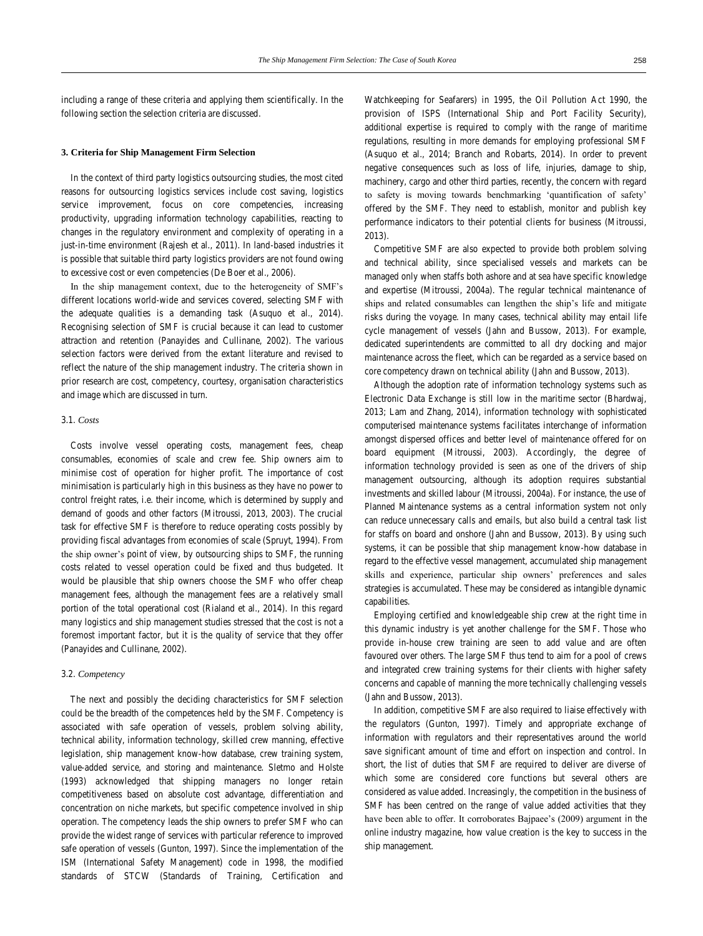including a range of these criteria and applying them scientifically. In the following section the selection criteria are discussed.

### **3. Criteria for Ship Management Firm Selection**

In the context of third party logistics outsourcing studies, the most cited reasons for outsourcing logistics services include cost saving, logistics service improvement, focus on core competencies, increasing productivity, upgrading information technology capabilities, reacting to changes in the regulatory environment and complexity of operating in a just-in-time environment (Rajesh et al., 2011). In land-based industries it is possible that suitable third party logistics providers are not found owing to excessive cost or even competencies (De Boer et al., 2006).

In the ship management context, due to the heterogeneity of SMF's different locations world-wide and services covered, selecting SMF with the adequate qualities is a demanding task (Asuquo et al., 2014). Recognising selection of SMF is crucial because it can lead to customer attraction and retention (Panayides and Cullinane, 2002). The various selection factors were derived from the extant literature and revised to reflect the nature of the ship management industry. The criteria shown in prior research are cost, competency, courtesy, organisation characteristics and image which are discussed in turn.

#### 3.1. *Costs*

Costs involve vessel operating costs, management fees, cheap consumables, economies of scale and crew fee. Ship owners aim to minimise cost of operation for higher profit. The importance of cost minimisation is particularly high in this business as they have no power to control freight rates, i.e. their income, which is determined by supply and demand of goods and other factors (Mitroussi, 2013, 2003). The crucial task for effective SMF is therefore to reduce operating costs possibly by providing fiscal advantages from economies of scale (Spruyt, 1994). From the ship owner's point of view, by outsourcing ships to SMF, the running costs related to vessel operation could be fixed and thus budgeted. It would be plausible that ship owners choose the SMF who offer cheap management fees, although the management fees are a relatively small portion of the total operational cost (Rialand et al., 2014). In this regard many logistics and ship management studies stressed that the cost is not a foremost important factor, but it is the quality of service that they offer (Panayides and Cullinane, 2002).

#### 3.2. *Competency*

The next and possibly the deciding characteristics for SMF selection could be the breadth of the competences held by the SMF. Competency is associated with safe operation of vessels, problem solving ability, technical ability, information technology, skilled crew manning, effective legislation, ship management know-how database, crew training system, value-added service, and storing and maintenance. Sletmo and Holste (1993) acknowledged that shipping managers no longer retain competitiveness based on absolute cost advantage, differentiation and concentration on niche markets, but specific competence involved in ship operation. The competency leads the ship owners to prefer SMF who can provide the widest range of services with particular reference to improved safe operation of vessels (Gunton, 1997). Since the implementation of the ISM (International Safety Management) code in 1998, the modified standards of STCW (Standards of Training, Certification and

Watchkeeping for Seafarers) in 1995, the Oil Pollution Act 1990, the provision of ISPS (International Ship and Port Facility Security), additional expertise is required to comply with the range of maritime regulations, resulting in more demands for employing professional SMF (Asuquo et al., 2014; Branch and Robarts, 2014). In order to prevent negative consequences such as loss of life, injuries, damage to ship, machinery, cargo and other third parties, recently, the concern with regard to safety is moving towards benchmarking 'quantification of safety' offered by the SMF. They need to establish, monitor and publish key performance indicators to their potential clients for business (Mitroussi, 2013).

Competitive SMF are also expected to provide both problem solving and technical ability, since specialised vessels and markets can be managed only when staffs both ashore and at sea have specific knowledge and expertise (Mitroussi, 2004a). The regular technical maintenance of ships and related consumables can lengthen the ship's life and mitigate risks during the voyage. In many cases, technical ability may entail life cycle management of vessels (Jahn and Bussow, 2013). For example, dedicated superintendents are committed to all dry docking and major maintenance across the fleet, which can be regarded as a service based on core competency drawn on technical ability (Jahn and Bussow, 2013).

Although the adoption rate of information technology systems such as Electronic Data Exchange is still low in the maritime sector (Bhardwaj, 2013; Lam and Zhang, 2014), information technology with sophisticated computerised maintenance systems facilitates interchange of information amongst dispersed offices and better level of maintenance offered for on board equipment (Mitroussi, 2003). Accordingly, the degree of information technology provided is seen as one of the drivers of ship management outsourcing, although its adoption requires substantial investments and skilled labour (Mitroussi, 2004a). For instance, the use of Planned Maintenance systems as a central information system not only can reduce unnecessary calls and emails, but also build a central task list for staffs on board and onshore (Jahn and Bussow, 2013). By using such systems, it can be possible that ship management know-how database in regard to the effective vessel management, accumulated ship management skills and experience, particular ship owners' preferences and sales strategies is accumulated. These may be considered as intangible dynamic capabilities.

Employing certified and knowledgeable ship crew at the right time in this dynamic industry is yet another challenge for the SMF. Those who provide in-house crew training are seen to add value and are often favoured over others. The large SMF thus tend to aim for a pool of crews and integrated crew training systems for their clients with higher safety concerns and capable of manning the more technically challenging vessels (Jahn and Bussow, 2013).

In addition, competitive SMF are also required to liaise effectively with the regulators (Gunton, 1997). Timely and appropriate exchange of information with regulators and their representatives around the world save significant amount of time and effort on inspection and control. In short, the list of duties that SMF are required to deliver are diverse of which some are considered core functions but several others are considered as value added. Increasingly, the competition in the business of SMF has been centred on the range of value added activities that they have been able to offer. It corroborates Bajpaee's (2009) argument in the online industry magazine, how value creation is the key to success in the ship management.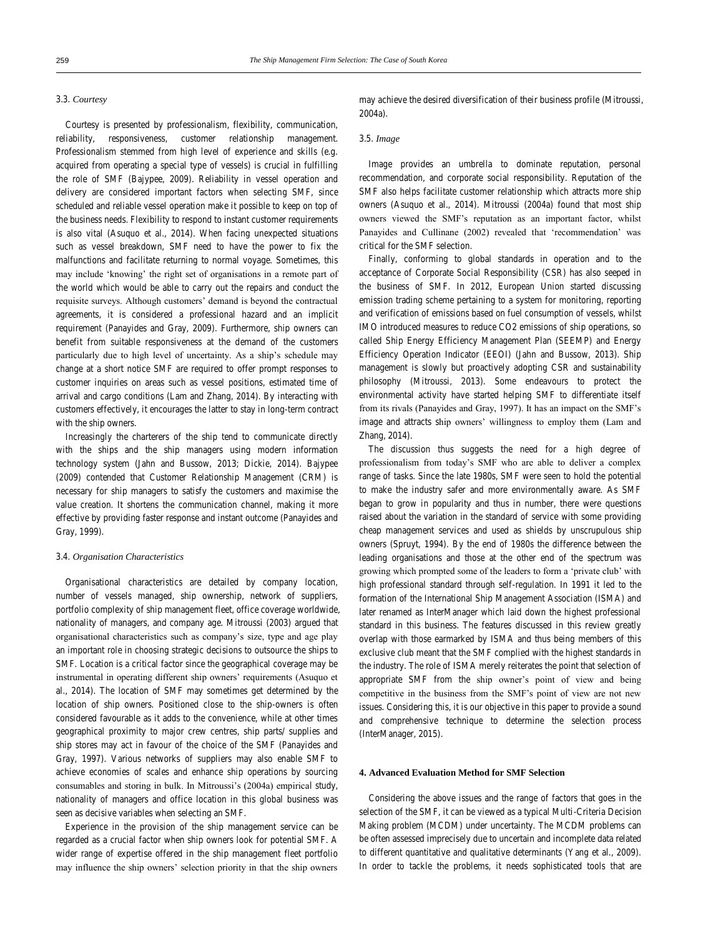#### 3.3. *Courtesy*

Courtesy is presented by professionalism, flexibility, communication, reliability, responsiveness, customer relationship management. Professionalism stemmed from high level of experience and skills (e.g. acquired from operating a special type of vessels) is crucial in fulfilling the role of SMF (Bajypee, 2009). Reliability in vessel operation and delivery are considered important factors when selecting SMF, since scheduled and reliable vessel operation make it possible to keep on top of the business needs. Flexibility to respond to instant customer requirements is also vital (Asuquo et al., 2014). When facing unexpected situations such as vessel breakdown, SMF need to have the power to fix the malfunctions and facilitate returning to normal voyage. Sometimes, this may include 'knowing' the right set of organisations in a remote part of the world which would be able to carry out the repairs and conduct the requisite surveys. Although customers' demand is beyond the contractual agreements, it is considered a professional hazard and an implicit requirement (Panayides and Gray, 2009). Furthermore, ship owners can benefit from suitable responsiveness at the demand of the customers particularly due to high level of uncertainty. As a ship's schedule may change at a short notice SMF are required to offer prompt responses to customer inquiries on areas such as vessel positions, estimated time of arrival and cargo conditions (Lam and Zhang, 2014). By interacting with customers effectively, it encourages the latter to stay in long-term contract with the ship owners.

Increasingly the charterers of the ship tend to communicate directly with the ships and the ship managers using modern information technology system (Jahn and Bussow, 2013; Dickie, 2014). Bajypee (2009) contended that Customer Relationship Management (CRM) is necessary for ship managers to satisfy the customers and maximise the value creation. It shortens the communication channel, making it more effective by providing faster response and instant outcome (Panayides and Gray, 1999).

#### 3.4. *Organisation Characteristics*

Organisational characteristics are detailed by company location, number of vessels managed, ship ownership, network of suppliers, portfolio complexity of ship management fleet, office coverage worldwide, nationality of managers, and company age. Mitroussi (2003) argued that organisational characteristics such as company's size, type and age play an important role in choosing strategic decisions to outsource the ships to SMF. Location is a critical factor since the geographical coverage may be instrumental in operating different ship owners' requirements (Asuquo et al., 2014). The location of SMF may sometimes get determined by the location of ship owners. Positioned close to the ship-owners is often considered favourable as it adds to the convenience, while at other times geographical proximity to major crew centres, ship parts/ supplies and ship stores may act in favour of the choice of the SMF (Panayides and Gray, 1997). Various networks of suppliers may also enable SMF to achieve economies of scales and enhance ship operations by sourcing consumables and storing in bulk. In Mitroussi's (2004a) empirical study, nationality of managers and office location in this global business was seen as decisive variables when selecting an SMF.

Experience in the provision of the ship management service can be regarded as a crucial factor when ship owners look for potential SMF. A wider range of expertise offered in the ship management fleet portfolio may influence the ship owners' selection priority in that the ship owners

may achieve the desired diversification of their business profile (Mitroussi, 2004a).

#### 3.5. *Image*

Image provides an umbrella to dominate reputation, personal recommendation, and corporate social responsibility. Reputation of the SMF also helps facilitate customer relationship which attracts more ship owners (Asuquo et al., 2014). Mitroussi (2004a) found that most ship owners viewed the SMF's reputation as an important factor, whilst Panayides and Cullinane (2002) revealed that 'recommendation' was critical for the SMF selection.

Finally, conforming to global standards in operation and to the acceptance of Corporate Social Responsibility (CSR) has also seeped in the business of SMF. In 2012, European Union started discussing emission trading scheme pertaining to a system for monitoring, reporting and verification of emissions based on fuel consumption of vessels, whilst IMO introduced measures to reduce CO2 emissions of ship operations, so called Ship Energy Efficiency Management Plan (SEEMP) and Energy Efficiency Operation Indicator (EEOI) (Jahn and Bussow, 2013). Ship management is slowly but proactively adopting CSR and sustainability philosophy (Mitroussi, 2013). Some endeavours to protect the environmental activity have started helping SMF to differentiate itself from its rivals (Panayides and Gray, 1997). It has an impact on the SMF's image and attracts ship owners' willingness to employ them (Lam and Zhang, 2014).

The discussion thus suggests the need for a high degree of professionalism from today's SMF who are able to deliver a complex range of tasks. Since the late 1980s, SMF were seen to hold the potential to make the industry safer and more environmentally aware. As SMF began to grow in popularity and thus in number, there were questions raised about the variation in the standard of service with some providing cheap management services and used as shields by unscrupulous ship owners (Spruyt, 1994). By the end of 1980s the difference between the leading organisations and those at the other end of the spectrum was growing which prompted some of the leaders to form a 'private club' with high professional standard through self-regulation. In 1991 it led to the formation of the International Ship Management Association (ISMA) and later renamed as InterManager which laid down the highest professional standard in this business. The features discussed in this review greatly overlap with those earmarked by ISMA and thus being members of this exclusive club meant that the SMF complied with the highest standards in the industry. The role of ISMA merely reiterates the point that selection of appropriate SMF from the ship owner's point of view and being competitive in the business from the SMF's point of view are not new issues. Considering this, it is our objective in this paper to provide a sound and comprehensive technique to determine the selection process (InterManager, 2015).

#### **4. Advanced Evaluation Method for SMF Selection**

Considering the above issues and the range of factors that goes in the selection of the SMF, it can be viewed as a typical Multi-Criteria Decision Making problem (MCDM) under uncertainty. The MCDM problems can be often assessed imprecisely due to uncertain and incomplete data related to different quantitative and qualitative determinants (Yang et al., 2009). In order to tackle the problems, it needs sophisticated tools that are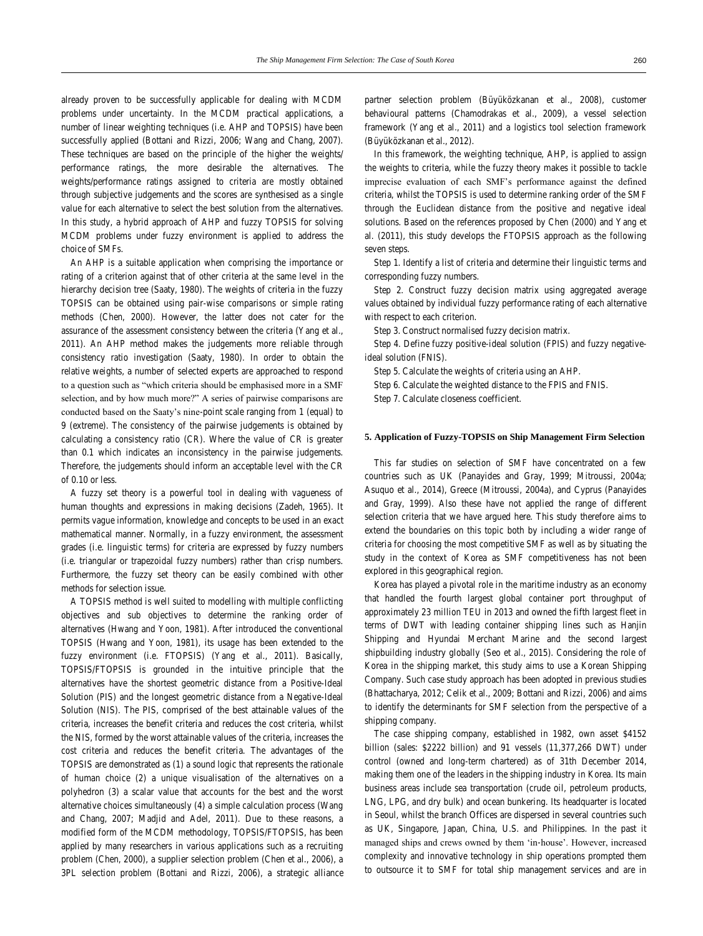already proven to be successfully applicable for dealing with MCDM problems under uncertainty. In the MCDM practical applications, a number of linear weighting techniques (i.e. AHP and TOPSIS) have been successfully applied (Bottani and Rizzi, 2006; Wang and Chang, 2007). These techniques are based on the principle of the higher the weights/ performance ratings, the more desirable the alternatives. The weights/performance ratings assigned to criteria are mostly obtained through subjective judgements and the scores are synthesised as a single value for each alternative to select the best solution from the alternatives. In this study, a hybrid approach of AHP and fuzzy TOPSIS for solving MCDM problems under fuzzy environment is applied to address the choice of SMFs.

An AHP is a suitable application when comprising the importance or rating of a criterion against that of other criteria at the same level in the hierarchy decision tree (Saaty, 1980). The weights of criteria in the fuzzy TOPSIS can be obtained using pair-wise comparisons or simple rating methods (Chen, 2000). However, the latter does not cater for the assurance of the assessment consistency between the criteria (Yang et al., 2011). An AHP method makes the judgements more reliable through consistency ratio investigation (Saaty, 1980). In order to obtain the relative weights, a number of selected experts are approached to respond to a question such as "which criteria should be emphasised more in a SMF selection, and by how much more?" A series of pairwise comparisons are conducted based on the Saaty's nine-point scale ranging from 1 (equal) to 9 (extreme). The consistency of the pairwise judgements is obtained by calculating a consistency ratio (CR). Where the value of CR is greater than 0.1 which indicates an inconsistency in the pairwise judgements. Therefore, the judgements should inform an acceptable level with the CR of 0.10 or less.

A fuzzy set theory is a powerful tool in dealing with vagueness of human thoughts and expressions in making decisions (Zadeh, 1965). It permits vague information, knowledge and concepts to be used in an exact mathematical manner. Normally, in a fuzzy environment, the assessment grades (i.e. linguistic terms) for criteria are expressed by fuzzy numbers (i.e. triangular or trapezoidal fuzzy numbers) rather than crisp numbers. Furthermore, the fuzzy set theory can be easily combined with other methods for selection issue.

A TOPSIS method is well suited to modelling with multiple conflicting objectives and sub objectives to determine the ranking order of alternatives (Hwang and Yoon, 1981). After introduced the conventional TOPSIS (Hwang and Yoon, 1981), its usage has been extended to the fuzzy environment (i.e. FTOPSIS) (Yang et al., 2011). Basically, TOPSIS/FTOPSIS is grounded in the intuitive principle that the alternatives have the shortest geometric distance from a Positive-Ideal Solution (PIS) and the longest geometric distance from a Negative-Ideal Solution (NIS). The PIS, comprised of the best attainable values of the criteria, increases the benefit criteria and reduces the cost criteria, whilst the NIS, formed by the worst attainable values of the criteria, increases the cost criteria and reduces the benefit criteria. The advantages of the TOPSIS are demonstrated as (1) a sound logic that represents the rationale of human choice (2) a unique visualisation of the alternatives on a polyhedron (3) a scalar value that accounts for the best and the worst alternative choices simultaneously (4) a simple calculation process (Wang and Chang, 2007; Madjid and Adel, 2011). Due to these reasons, a modified form of the MCDM methodology, TOPSIS/FTOPSIS, has been applied by many researchers in various applications such as a recruiting problem (Chen, 2000), a supplier selection problem (Chen et al., 2006), a 3PL selection problem (Bottani and Rizzi, 2006), a strategic alliance

partner selection problem (Büyüközkanan et al., 2008), customer behavioural patterns (Chamodrakas et al., 2009), a vessel selection framework (Yang et al., 2011) and a logistics tool selection framework (Büyüközkanan et al., 2012).

In this framework, the weighting technique, AHP, is applied to assign the weights to criteria, while the fuzzy theory makes it possible to tackle imprecise evaluation of each SMF's performance against the defined criteria, whilst the TOPSIS is used to determine ranking order of the SMF through the Euclidean distance from the positive and negative ideal solutions. Based on the references proposed by Chen (2000) and Yang et al. (2011), this study develops the FTOPSIS approach as the following seven steps.

Step 1. Identify a list of criteria and determine their linguistic terms and corresponding fuzzy numbers.

Step 2. Construct fuzzy decision matrix using aggregated average values obtained by individual fuzzy performance rating of each alternative with respect to each criterion.

Step 3. Construct normalised fuzzy decision matrix.

Step 4. Define fuzzy positive-ideal solution (FPIS) and fuzzy negativeideal solution (FNIS).

Step 5. Calculate the weights of criteria using an AHP.

Step 6. Calculate the weighted distance to the FPIS and FNIS.

Step 7. Calculate closeness coefficient.

## **5. Application of Fuzzy-TOPSIS on Ship Management Firm Selection**

This far studies on selection of SMF have concentrated on a few countries such as UK (Panayides and Gray, 1999; Mitroussi, 2004a; Asuquo et al., 2014), Greece (Mitroussi, 2004a), and Cyprus (Panayides and Gray, 1999). Also these have not applied the range of different selection criteria that we have argued here. This study therefore aims to extend the boundaries on this topic both by including a wider range of criteria for choosing the most competitive SMF as well as by situating the study in the context of Korea as SMF competitiveness has not been explored in this geographical region.

Korea has played a pivotal role in the maritime industry as an economy that handled the fourth largest global container port throughput of approximately 23 million TEU in 2013 and owned the fifth largest fleet in terms of DWT with leading container shipping lines such as Hanjin Shipping and Hyundai Merchant Marine and the second largest shipbuilding industry globally (Seo et al., 2015). Considering the role of Korea in the shipping market, this study aims to use a Korean Shipping Company. Such case study approach has been adopted in previous studies (Bhattacharya, 2012; Celik et al., 2009; Bottani and Rizzi, 2006) and aims to identify the determinants for SMF selection from the perspective of a shipping company.

The case shipping company, established in 1982, own asset \$4152 billion (sales: \$2222 billion) and 91 vessels (11,377,266 DWT) under control (owned and long-term chartered) as of 31th December 2014, making them one of the leaders in the shipping industry in Korea. Its main business areas include sea transportation (crude oil, petroleum products, LNG, LPG, and dry bulk) and ocean bunkering. Its headquarter is located in Seoul, whilst the branch Offices are dispersed in several countries such as UK, Singapore, Japan, China, U.S. and Philippines. In the past it managed ships and crews owned by them 'in-house'. However, increased complexity and innovative technology in ship operations prompted them to outsource it to SMF for total ship management services and are in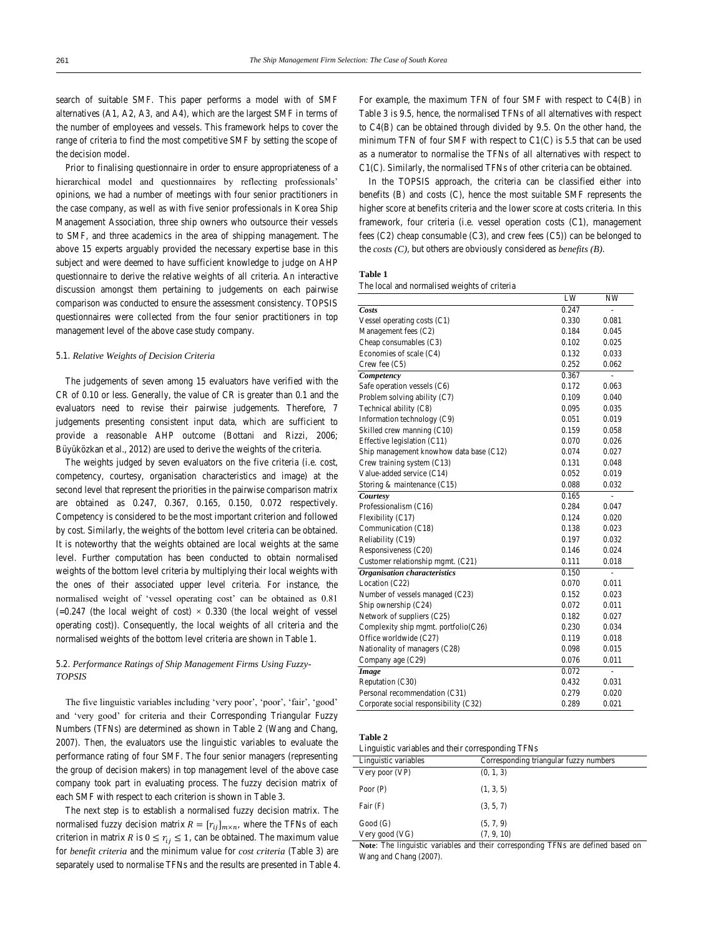search of suitable SMF. This paper performs a model with of SMF alternatives (A1, A2, A3, and A4), which are the largest SMF in terms of the number of employees and vessels. This framework helps to cover the range of criteria to find the most competitive SMF by setting the scope of the decision model.

Prior to finalising questionnaire in order to ensure appropriateness of a hierarchical model and questionnaires by reflecting professionals' opinions, we had a number of meetings with four senior practitioners in the case company, as well as with five senior professionals in Korea Ship Management Association, three ship owners who outsource their vessels to SMF, and three academics in the area of shipping management. The above 15 experts arguably provided the necessary expertise base in this subject and were deemed to have sufficient knowledge to judge on AHP questionnaire to derive the relative weights of all criteria. An interactive discussion amongst them pertaining to judgements on each pairwise comparison was conducted to ensure the assessment consistency. TOPSIS questionnaires were collected from the four senior practitioners in top management level of the above case study company.

#### 5.1. *Relative Weights of Decision Criteria*

The judgements of seven among 15 evaluators have verified with the CR of 0.10 or less. Generally, the value of CR is greater than 0.1 and the evaluators need to revise their pairwise judgements. Therefore, 7 judgements presenting consistent input data, which are sufficient to provide a reasonable AHP outcome (Bottani and Rizzi, 2006; Büyüközkan et al., 2012) are used to derive the weights of the criteria.

The weights judged by seven evaluators on the five criteria (i.e. cost, competency, courtesy, organisation characteristics and image) at the second level that represent the priorities in the pairwise comparison matrix are obtained as 0.247, 0.367, 0.165, 0.150, 0.072 respectively. Competency is considered to be the most important criterion and followed by cost. Similarly, the weights of the bottom level criteria can be obtained. It is noteworthy that the weights obtained are local weights at the same level. Further computation has been conducted to obtain normalised weights of the bottom level criteria by multiplying their local weights with the ones of their associated upper level criteria. For instance, the normalised weight of 'vessel operating cost' can be obtained as 0.81  $(=0.247)$  (the local weight of cost)  $\times$  0.330 (the local weight of vessel operating cost)). Consequently, the local weights of all criteria and the normalised weights of the bottom level criteria are shown in Table 1.

# 5.2. *Performance Ratings of Ship Management Firms Using Fuzzy-TOPSIS*

The five linguistic variables including 'very poor', 'poor', 'fair', 'good' and 'very good' for criteria and their Corresponding Triangular Fuzzy Numbers (TFNs) are determined as shown in Table 2 (Wang and Chang, 2007). Then, the evaluators use the linguistic variables to evaluate the performance rating of four SMF. The four senior managers (representing the group of decision makers) in top management level of the above case company took part in evaluating process. The fuzzy decision matrix of each SMF with respect to each criterion is shown in Table 3.

The next step is to establish a normalised fuzzy decision matrix. The normalised fuzzy decision matrix  $R = [r_{ij}]_{m \times n}$ , where the TFNs of each criterion in matrix R is  $0 \le r_{ij} \le 1$ , can be obtained. The maximum value for *benefit criteria* and the minimum value for *cost criteria* (Table 3) are separately used to normalise TFNs and the results are presented in Table 4. For example, the maximum TFN of four SMF with respect to C4(B) in Table 3 is 9.5, hence, the normalised TFNs of all alternatives with respect to C4(B) can be obtained through divided by 9.5. On the other hand, the minimum TFN of four SMF with respect to C1(C) is 5.5 that can be used as a numerator to normalise the TFNs of all alternatives with respect to C1(C). Similarly, the normalised TFNs of other criteria can be obtained.

In the TOPSIS approach, the criteria can be classified either into benefits (B) and costs (C), hence the most suitable SMF represents the higher score at benefits criteria and the lower score at costs criteria. In this framework, four criteria (i.e. vessel operation costs (C1), management fees (C2) cheap consumable (C3), and crew fees (C5)) can be belonged to the *costs (C)*, but others are obviously considered as *benefits (B)*.

#### **Table 1**

The local and normalised weights of criteria

|                                         | LW    | NW    |
|-----------------------------------------|-------|-------|
| Costs                                   | 0.247 |       |
| Vessel operating costs (C1)             | 0.330 | 0.081 |
| Management fees (C2)                    | 0.184 | 0.045 |
| Cheap consumables (C3)                  | 0.102 | 0.025 |
| Economies of scale (C4)                 | 0.132 | 0.033 |
| Crew fee $(C5)$                         | 0.252 | 0.062 |
| Competency                              | 0.367 | ÷,    |
| Safe operation vessels (C6)             | 0.172 | 0.063 |
| Problem solving ability (C7)            | 0.109 | 0.040 |
| Technical ability (C8)                  | 0.095 | 0.035 |
| Information technology (C9)             | 0.051 | 0.019 |
| Skilled crew manning (C10)              | 0.159 | 0.058 |
| Effective legislation (C11)             | 0.070 | 0.026 |
| Ship management knowhow data base (C12) | 0.074 | 0.027 |
| Crew training system (C13)              | 0.131 | 0.048 |
| Value-added service (C14)               | 0.052 | 0.019 |
| Storing & maintenance (C15)             | 0.088 | 0.032 |
| Courtesy                                | 0.165 | L,    |
| Professionalism (C16)                   | 0.284 | 0.047 |
| Flexibility (C17)                       | 0.124 | 0.020 |
| Communication (C18)                     | 0.138 | 0.023 |
| Reliability (C19)                       | 0.197 | 0.032 |
| Responsiveness (C20)                    | 0.146 | 0.024 |
| Customer relationship mgmt. (C21)       | 0.111 | 0.018 |
| Organisation characteristics            | 0.150 |       |
| Location (C22)                          | 0.070 | 0.011 |
| Number of vessels managed (C23)         | 0.152 | 0.023 |
| Ship ownership (C24)                    | 0.072 | 0.011 |
| Network of suppliers (C25)              | 0.182 | 0.027 |
| Complexity ship mgmt. portfolio $(C26)$ | 0.230 | 0.034 |
| Office worldwide (C27)                  | 0.119 | 0.018 |
| Nationality of managers (C28)           | 0.098 | 0.015 |
| Company age (C29)                       | 0.076 | 0.011 |
| Image                                   | 0.072 | L     |
| Reputation (C30)                        | 0.432 | 0.031 |
| Personal recommendation (C31)           | 0.279 | 0.020 |
| Corporate social responsibility (C32)   | 0.289 | 0.021 |

# **Table 2**

Linguistic variables and their corresponding TFNs

| Linguistic variables                                             | Corresponding triangular fuzzy numbers                 |
|------------------------------------------------------------------|--------------------------------------------------------|
| Very poor $(VP)$                                                 | (0, 1, 3)                                              |
| Poor $(P)$                                                       | (1, 3, 5)                                              |
| Fair $(F)$                                                       | (3, 5, 7)                                              |
| Good(G)                                                          | (5, 7, 9)                                              |
| Very good (VG)                                                   | (7, 9, 10)                                             |
| $\mathbf{v} = \mathbf{v}$ . Hence $\mathbf{v} = \mathbf{v}$<br>. | $\sim$ $\sim$<br>.<br>$\cdot$<br>------<br>.<br>$\sim$ |

**Note**: The linguistic variables and their corresponding TFNs are defined based on Wang and Chang (2007).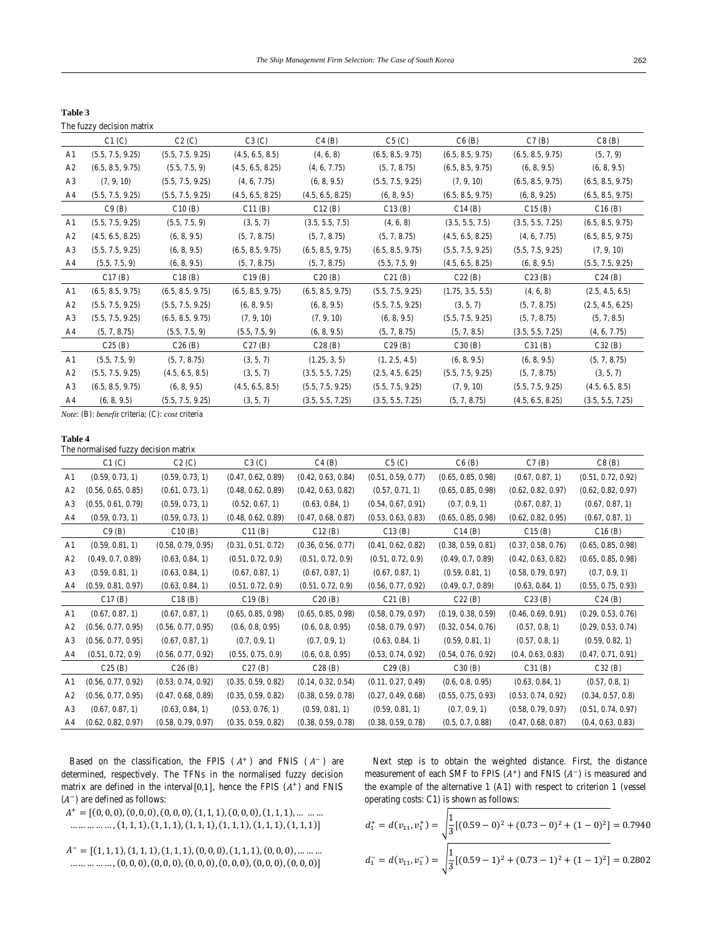| Table 3               |  |
|-----------------------|--|
| The frame decision is |  |

| The fuzzy decision matrix |                  |                  |                  |                  |                  |                  |                  |
|---------------------------|------------------|------------------|------------------|------------------|------------------|------------------|------------------|
| Cl (C)                    | C2(C)            | C3(C)            | C4(B)            | C5(C)            | C6(B)            | C7(B)            | C8(B)            |
| (5.5, 7.5, 9.25)          | (5.5, 7.5, 9.25) | (4.5, 6.5, 8.5)  | (4, 6, 8)        | (6.5, 8.5, 9.75) | (6.5, 8.5, 9.75) | (6.5, 8.5, 9.75) | (5, 7, 9)        |
| (6.5, 8.5, 9.75)          | (5.5, 7.5, 9)    | (4.5, 6.5, 8.25) | (4, 6, 7.75)     | (5, 7, 8.75)     | (6.5, 8.5, 9.75) | (6, 8, 9.5)      | (6, 8, 9.5)      |
| (7, 9, 10)                | (5.5, 7.5, 9.25) | (4, 6, 7.75)     | (6, 8, 9.5)      | (5.5, 7.5, 9.25) | (7, 9, 10)       | (6.5, 8.5, 9.75) | (6.5, 8.5, 9.75) |
| (5.5, 7.5, 9.25)          | (5.5, 7.5, 9.25) | (4.5, 6.5, 8.25) | (4.5, 6.5, 8.25) | (6, 8, 9.5)      | (6.5, 8.5, 9.75) | (6, 8, 9.25)     | (6.5, 8.5, 9.75) |
| C9(B)                     | C10(B)           | C11(B)           | C12(B)           | C13(B)           | C14(B)           | C15(B)           | C16(B)           |
| (5.5, 7.5, 9.25)          | (5.5, 7.5, 9)    | (3, 5, 7)        | (3.5, 5.5, 7.5)  | (4, 6, 8)        | (3.5, 5.5, 7.5)  | (3.5, 5.5, 7.25) | (6.5, 8.5, 9.75) |
| (4.5, 6.5, 8.25)          | (6, 8, 9.5)      | (5, 7, 8.75)     | (5, 7, 8.75)     | (5, 7, 8.75)     | (4.5, 6.5, 8.25) | (4, 6, 7.75)     | (6.5, 8.5, 9.75) |
| (5.5, 7.5, 9.25)          | (6, 8, 9.5)      | (6.5, 8.5, 9.75) | (6.5, 8.5, 9.75) | (6.5, 8.5, 9.75) | (5.5, 7.5, 9.25) | (5.5, 7.5, 9.25) | (7, 9, 10)       |
| (5.5, 7.5, 9)             | (6, 8, 9.5)      | (5, 7, 8.75)     | (5, 7, 8.75)     | (5.5, 7.5, 9)    | (4.5, 6.5, 8.25) | (6, 8, 9.5)      | (5.5, 7.5, 9.25) |
| C17(B)                    | C18(B)           | C19(B)           | C20(B)           | C21(B)           | C22(B)           | C23(B)           | C24(B)           |
| (6.5, 8.5, 9.75)          | (6.5, 8.5, 9.75) | (6.5, 8.5, 9.75) | (6.5, 8.5, 9.75) | (5.5, 7.5, 9.25) | (1.75, 3.5, 5.5) | (4, 6, 8)        | (2.5, 4.5, 6.5)  |
| (5.5, 7.5, 9.25)          | (5.5, 7.5, 9.25) | (6, 8, 9.5)      | (6, 8, 9.5)      | (5.5, 7.5, 9.25) | (3, 5, 7)        | (5, 7, 8.75)     | (2.5, 4.5, 6.25) |
| (5.5, 7.5, 9.25)          | (6.5, 8.5, 9.75) | (7, 9, 10)       | (7, 9, 10)       | (6, 8, 9.5)      | (5.5, 7.5, 9.25) | (5, 7, 8.75)     | (5, 7, 8.5)      |
| (5, 7, 8.75)              | (5.5, 7.5, 9)    | (5.5, 7.5, 9)    | (6, 8, 9.5)      | (5, 7, 8.75)     | (5, 7, 8.5)      | (3.5, 5.5, 7.25) | (4, 6, 7.75)     |
| C25(B)                    | C26(B)           | C27(B)           | C28(B)           | C29(B)           | C30(B)           | C31(B)           | C32(B)           |
| (5.5, 7.5, 9)             | (5, 7, 8.75)     | (3, 5, 7)        | (1.25, 3, 5)     | (1, 2.5, 4.5)    | (6, 8, 9.5)      | (6, 8, 9.5)      | (5, 7, 8.75)     |
| (5.5, 7.5, 9.25)          | (4.5, 6.5, 8.5)  | (3, 5, 7)        | (3.5, 5.5, 7.25) | (2.5, 4.5, 6.25) | (5.5, 7.5, 9.25) | (5, 7, 8.75)     | (3, 5, 7)        |
| (6.5, 8.5, 9.75)          | (6, 8, 9.5)      | (4.5, 6.5, 8.5)  | (5.5, 7.5, 9.25) | (5.5, 7.5, 9.25) | (7, 9, 10)       | (5.5, 7.5, 9.25) | (4.5, 6.5, 8.5)  |
| (6, 8, 9.5)               | (5.5, 7.5, 9.25) | (3, 5, 7)        | (3.5, 5.5, 7.25) | (3.5, 5.5, 7.25) | (5, 7, 8.75)     | (4.5, 6.5, 8.25) | (3.5, 5.5, 7.25) |
|                           |                  |                  |                  |                  |                  |                  |                  |

*Note*: (B): *benefit* criteria; (C): *cost* criteria

#### **Table 4**

| The normalised fuzzy decision matrix |                    |                    |                    |                    |                    |                    |                    |                    |
|--------------------------------------|--------------------|--------------------|--------------------|--------------------|--------------------|--------------------|--------------------|--------------------|
|                                      | C1(C)              | C2(C)              | C3(C)              | C4(B)              | C5(C)              | C6(B)              | C7(B)              | C8(B)              |
| A <sub>1</sub>                       | (0.59, 0.73, 1)    | (0.59, 0.73, 1)    | (0.47, 0.62, 0.89) | (0.42, 0.63, 0.84) | (0.51, 0.59, 0.77) | (0.65, 0.85, 0.98) | (0.67, 0.87, 1)    | (0.51, 0.72, 0.92) |
| A2                                   | (0.56, 0.65, 0.85) | (0.61, 0.73, 1)    | (0.48, 0.62, 0.89) | (0.42, 0.63, 0.82) | (0.57, 0.71, 1)    | (0.65, 0.85, 0.98) | (0.62, 0.82, 0.97) | (0.62, 0.82, 0.97) |
| A <sub>3</sub>                       | (0.55, 0.61, 0.79) | (0.59, 0.73, 1)    | (0.52, 0.67, 1)    | (0.63, 0.84, 1)    | (0.54, 0.67, 0.91) | (0.7, 0.9, 1)      | (0.67, 0.87, 1)    | (0.67, 0.87, 1)    |
| A4                                   | (0.59, 0.73, 1)    | (0.59, 0.73, 1)    | (0.48, 0.62, 0.89) | (0.47, 0.68, 0.87) | (0.53, 0.63, 0.83) | (0.65, 0.85, 0.98) | (0.62, 0.82, 0.95) | (0.67, 0.87, 1)    |
|                                      | C9(B)              | C10(B)             | C11(B)             | C12(B)             | C13(B)             | C14(B)             | C15(B)             | C16(B)             |
| A <sub>1</sub>                       | (0.59, 0.81, 1)    | (0.58, 0.79, 0.95) | (0.31, 0.51, 0.72) | (0.36, 0.56, 0.77) | (0.41, 0.62, 0.82) | (0.38, 0.59, 0.81) | (0.37, 0.58, 0.76) | (0.65, 0.85, 0.98) |
| A2                                   | (0.49, 0.7, 0.89)  | (0.63, 0.84, 1)    | (0.51, 0.72, 0.9)  | (0.51, 0.72, 0.9)  | (0.51, 0.72, 0.9)  | (0.49, 0.7, 0.89)  | (0.42, 0.63, 0.82) | (0.65, 0.85, 0.98) |
| A <sub>3</sub>                       | (0.59, 0.81, 1)    | (0.63, 0.84, 1)    | (0.67, 0.87, 1)    | (0.67, 0.87, 1)    | (0.67, 0.87, 1)    | (0.59, 0.81, 1)    | (0.58, 0.79, 0.97) | (0.7, 0.9, 1)      |
| A4                                   | (0.59, 0.81, 0.97) | (0.63, 0.84, 1)    | (0.51, 0.72, 0.9)  | (0.51, 0.72, 0.9)  | (0.56, 0.77, 0.92) | (0.49, 0.7, 0.89)  | (0.63, 0.84, 1)    | (0.55, 0.75, 0.93) |
|                                      | Cl7(B)             | C18(B)             | C19(B)             | C20(B)             | C21(B)             | C22(B)             | C23(B)             | C24(B)             |
| A <sub>1</sub>                       | (0.67, 0.87, 1)    | (0.67, 0.87, 1)    | (0.65, 0.85, 0.98) | (0.65, 0.85, 0.98) | (0.58, 0.79, 0.97) | (0.19, 0.38, 0.59) | (0.46, 0.69, 0.91) | (0.29, 0.53, 0.76) |
| A2                                   | (0.56, 0.77, 0.95) | (0.56, 0.77, 0.95) | (0.6, 0.8, 0.95)   | (0.6, 0.8, 0.95)   | (0.58, 0.79, 0.97) | (0.32, 0.54, 0.76) | (0.57, 0.8, 1)     | (0.29, 0.53, 0.74) |
| A3                                   | (0.56, 0.77, 0.95) | (0.67, 0.87, 1)    | (0.7, 0.9, 1)      | (0.7, 0.9, 1)      | (0.63, 0.84, 1)    | (0.59, 0.81, 1)    | (0.57, 0.8, 1)     | (0.59, 0.82, 1)    |
| A4                                   | (0.51, 0.72, 0.9)  | (0.56, 0.77, 0.92) | (0.55, 0.75, 0.9)  | (0.6, 0.8, 0.95)   | (0.53, 0.74, 0.92) | (0.54, 0.76, 0.92) | (0.4, 0.63, 0.83)  | (0.47, 0.71, 0.91) |
|                                      | C25(B)             | C26(B)             | C27(B)             | C28(B)             | C29(B)             | C30(B)             | C31(B)             | C32(B)             |
| A <sub>1</sub>                       | (0.56, 0.77, 0.92) | (0.53, 0.74, 0.92) | (0.35, 0.59, 0.82) | (0.14, 0.32, 0.54) | (0.11, 0.27, 0.49) | (0.6, 0.8, 0.95)   | (0.63, 0.84, 1)    | (0.57, 0.8, 1)     |
| A2                                   | (0.56, 0.77, 0.95) | (0.47, 0.68, 0.89) | (0.35, 0.59, 0.82) | (0.38, 0.59, 0.78) | (0.27, 0.49, 0.68) | (0.55, 0.75, 0.93) | (0.53, 0.74, 0.92) | (0.34, 0.57, 0.8)  |
| A <sub>3</sub>                       | (0.67, 0.87, 1)    | (0.63, 0.84, 1)    | (0.53, 0.76, 1)    | (0.59, 0.81, 1)    | (0.59, 0.81, 1)    | (0.7, 0.9, 1)      | (0.58, 0.79, 0.97) | (0.51, 0.74, 0.97) |
| A4                                   | (0.62, 0.82, 0.97) | (0.58, 0.79, 0.97) | (0.35, 0.59, 0.82) | (0.38, 0.59, 0.78) | (0.38, 0.59, 0.78) | (0.5, 0.7, 0.88)   | (0.47, 0.68, 0.87) | (0.4, 0.63, 0.83)  |

Based on the classification, the FPIS  $(A^+)$  and FNIS  $(A^-)$  are determined, respectively. The TFNs in the normalised fuzzy decision matrix are defined in the interval[0,1], hence the FPIS  $(A<sup>+</sup>)$  and FNIS  $(A^-)$  are defined as follows:

 $A^+ = \lbrack (0,0,0), (0,0,0), (0,0,0), (1,1,1), (0,0,0), (1,1,1), \ldots$  $..., ..., (1, 1, 1), (1, 1, 1), (1, 1, 1), (1, 1, 1), (1, 1, 1), (1, 1, 1)]$ 

 $A^- = [(1,1,1), (1,1,1), (1,1,1), (0,0,0), (1,1,1), (0,0,0), \ldots$  $..., ..., (0, 0, 0), (0, 0, 0), (0, 0, 0), (0, 0, 0), (0, 0, 0), (0, 0, 0)$ 

Next step is to obtain the weighted distance. First, the distance measurement of each SMF to FPIS  $(A<sup>+</sup>)$  and FNIS  $(A<sup>-</sup>)$  is measured and the example of the alternative 1 (A1) with respect to criterion 1 (vessel operating costs: C1) is shown as follows:

$$
d_1^+ = d(v_{11}, v_1^+) = \sqrt{\frac{1}{3}[(0.59 - 0)^2 + (0.73 - 0)^2 + (1 - 0)^2]} = 0.7940
$$
  

$$
d_1^- = d(v_{11}, v_1^-) = \sqrt{\frac{1}{3}[(0.59 - 1)^2 + (0.73 - 1)^2 + (1 - 1)^2]} = 0.2802
$$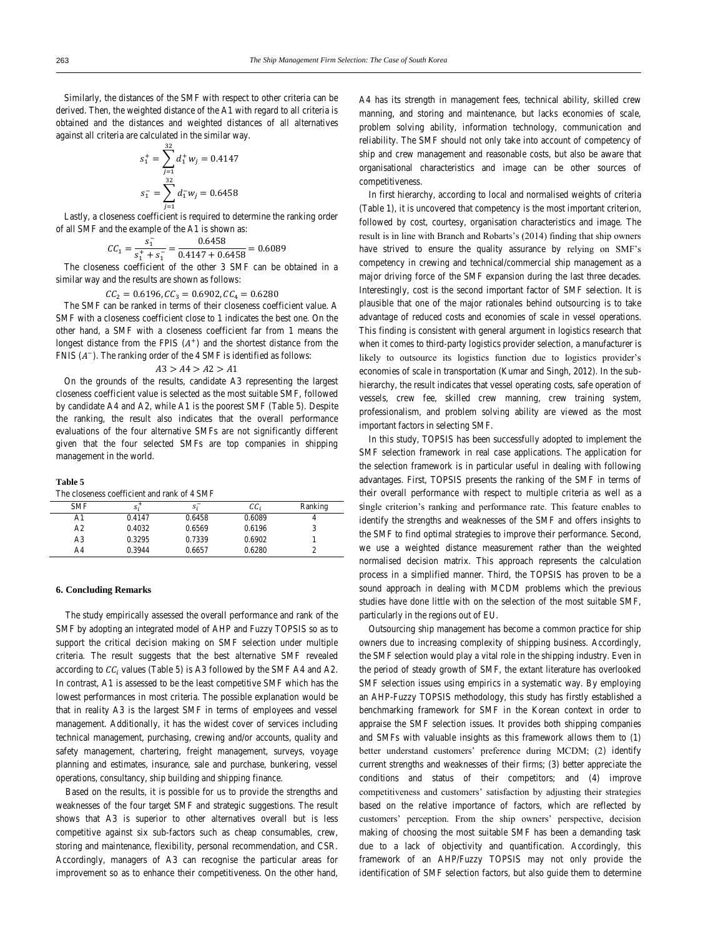Similarly, the distances of the SMF with respect to other criteria can be derived. Then, the weighted distance of the A1 with regard to all criteria is obtained and the distances and weighted distances of all alternatives against all criteria are calculated in the similar way.

$$
s_1^+ = \sum_{j=1}^{32} d_1^+ w_j = 0.4147
$$
  

$$
s_1^- = \sum_{j=1}^{32} d_1^- w_j = 0.6458
$$

Lastly, a closeness coefficient is required to determine the ranking order of all SMF and the example of the A1 is shown as:

$$
CC_1 = \frac{s_1^-}{s_1^+ + s_1^-} = \frac{0.6458}{0.4147 + 0.6458} = 0.6089
$$

The closeness coefficient of the other 3 SMF can be obtained in a similar way and the results are shown as follows:

 $CC_2 = 0.6196$ ,  $CC_3 = 0.6902$ ,  $CC_4 = 0.6280$ <br>The SMF can be ranked in terms of their closeness coefficient value. A SMF with a closeness coefficient close to 1 indicates the best one. On the other hand, a SMF with a closeness coefficient far from 1 means the longest distance from the FPIS  $(A^+)$  and the shortest distance from the FNIS  $(A^-)$ . The ranking order of the 4 SMF is identified as follows:

 $A3 > A4 > A2 > A1$ 

On the grounds of the results, candidate A3 representing the largest closeness coefficient value is selected as the most suitable SMF, followed by candidate A4 and A2, while A1 is the poorest SMF (Table 5). Despite the ranking, the result also indicates that the overall performance evaluations of the four alternative SMFs are not significantly different given that the four selected SMFs are top companies in shipping management in the world.

#### **Table 5**

The closeness coefficient and rank of 4 SMF

| <b>SMF</b>     | $s_i^+$ | S:     | $cc_i$ | Ranking |
|----------------|---------|--------|--------|---------|
| A1             | 0.4147  | 0.6458 | 0.6089 |         |
| A <sub>2</sub> | 0.4032  | 0.6569 | 0.6196 |         |
| A3             | 0.3295  | 0.7339 | 0.6902 |         |
| A4             | 0.3944  | 0.6657 | 0.6280 |         |
|                |         |        |        |         |

#### **6. Concluding Remarks**

The study empirically assessed the overall performance and rank of the SMF by adopting an integrated model of AHP and Fuzzy TOPSIS so as to support the critical decision making on SMF selection under multiple criteria. The result suggests that the best alternative SMF revealed according to  $CC_i$  values (Table 5) is A3 followed by the SMF A4 and A2. In contrast, A1 is assessed to be the least competitive SMF which has the lowest performances in most criteria. The possible explanation would be that in reality A3 is the largest SMF in terms of employees and vessel management. Additionally, it has the widest cover of services including technical management, purchasing, crewing and/or accounts, quality and safety management, chartering, freight management, surveys, voyage planning and estimates, insurance, sale and purchase, bunkering, vessel operations, consultancy, ship building and shipping finance.

Based on the results, it is possible for us to provide the strengths and weaknesses of the four target SMF and strategic suggestions. The result shows that A3 is superior to other alternatives overall but is less competitive against six sub-factors such as cheap consumables, crew, storing and maintenance, flexibility, personal recommendation, and CSR. Accordingly, managers of A3 can recognise the particular areas for improvement so as to enhance their competitiveness. On the other hand,

A4 has its strength in management fees, technical ability, skilled crew manning, and storing and maintenance, but lacks economies of scale, problem solving ability, information technology, communication and reliability. The SMF should not only take into account of competency of ship and crew management and reasonable costs, but also be aware that organisational characteristics and image can be other sources of competitiveness.

In first hierarchy, according to local and normalised weights of criteria (Table 1), it is uncovered that competency is the most important criterion, followed by cost, courtesy, organisation characteristics and image. The result is in line with Branch and Robarts's (2014) finding that ship owners have strived to ensure the quality assurance by relying on SMF's competency in crewing and technical/commercial ship management as a major driving force of the SMF expansion during the last three decades. Interestingly, cost is the second important factor of SMF selection. It is plausible that one of the major rationales behind outsourcing is to take advantage of reduced costs and economies of scale in vessel operations. This finding is consistent with general argument in logistics research that when it comes to third-party logistics provider selection, a manufacturer is likely to outsource its logistics function due to logistics provider's economies of scale in transportation (Kumar and Singh, 2012). In the subhierarchy, the result indicates that vessel operating costs, safe operation of vessels, crew fee, skilled crew manning, crew training system, professionalism, and problem solving ability are viewed as the most important factors in selecting SMF.

In this study, TOPSIS has been successfully adopted to implement the SMF selection framework in real case applications. The application for the selection framework is in particular useful in dealing with following advantages. First, TOPSIS presents the ranking of the SMF in terms of their overall performance with respect to multiple criteria as well as a single criterion's ranking and performance rate. This feature enables to identify the strengths and weaknesses of the SMF and offers insights to the SMF to find optimal strategies to improve their performance. Second, we use a weighted distance measurement rather than the weighted normalised decision matrix. This approach represents the calculation process in a simplified manner. Third, the TOPSIS has proven to be a sound approach in dealing with MCDM problems which the previous studies have done little with on the selection of the most suitable SMF, particularly in the regions out of EU.

Outsourcing ship management has become a common practice for ship owners due to increasing complexity of shipping business. Accordingly, the SMF selection would play a vital role in the shipping industry. Even in the period of steady growth of SMF, the extant literature has overlooked SMF selection issues using empirics in a systematic way. By employing an AHP-Fuzzy TOPSIS methodology, this study has firstly established a benchmarking framework for SMF in the Korean context in order to appraise the SMF selection issues. It provides both shipping companies and SMFs with valuable insights as this framework allows them to (1) better understand customers' preference during MCDM; (2) identify current strengths and weaknesses of their firms; (3) better appreciate the conditions and status of their competitors; and (4) improve competitiveness and customers' satisfaction by adjusting their strategies based on the relative importance of factors, which are reflected by customers' perception. From the ship owners' perspective, decision making of choosing the most suitable SMF has been a demanding task due to a lack of objectivity and quantification. Accordingly, this framework of an AHP/Fuzzy TOPSIS may not only provide the identification of SMF selection factors, but also guide them to determine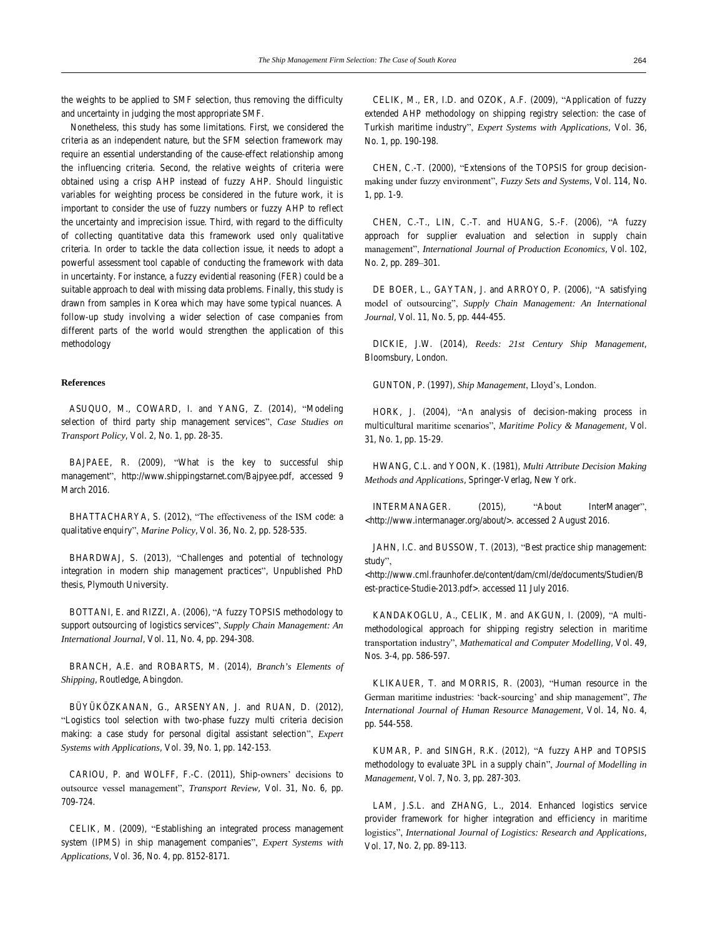the weights to be applied to SMF selection, thus removing the difficulty and uncertainty in judging the most appropriate SMF.

Nonetheless, this study has some limitations. First, we considered the criteria as an independent nature, but the SFM selection framework may require an essential understanding of the cause-effect relationship among the influencing criteria. Second, the relative weights of criteria were obtained using a crisp AHP instead of fuzzy AHP. Should linguistic variables for weighting process be considered in the future work, it is important to consider the use of fuzzy numbers or fuzzy AHP to reflect the uncertainty and imprecision issue. Third, with regard to the difficulty of collecting quantitative data this framework used only qualitative criteria. In order to tackle the data collection issue, it needs to adopt a powerful assessment tool capable of conducting the framework with data in uncertainty. For instance, a fuzzy evidential reasoning (FER) could be a suitable approach to deal with missing data problems. Finally, this study is drawn from samples in Korea which may have some typical nuances. A follow-up study involving a wider selection of case companies from different parts of the world would strengthen the application of this methodology

#### **References**

ASUQUO, M., COWARD, I. and YANG, Z. (2014), "Modeling selection of third party ship management services", *Case Studies on Transport Policy*, Vol. 2, No. 1, pp. 28-35.

BAJPAEE, R. (2009), "What is the key to successful ship management", http://www.shippingstarnet.com/Bajpyee.pdf, accessed 9 March 2016.

BHATTACHARYA, S. (2012), "The effectiveness of the ISM code: a qualitative enquiry", *Marine Policy*, Vol. 36, No. 2, pp. 528-535.

BHARDWAJ, S. (2013), "Challenges and potential of technology integration in modern ship management practices", Unpublished PhD thesis, Plymouth University.

BOTTANI, E. and RIZZI, A. (2006), "A fuzzy TOPSIS methodology to support outsourcing of logistics services", *Supply Chain Management: An International Journal*, Vol. 11, No. 4, pp. 294-308.

BRANCH, A.E. and ROBARTS, M. (2014), *Branch's Elements of Shipping*, Routledge, Abingdon.

BÜYÜKÖZKANAN, G., ARSENYAN, J. and RUAN, D. (2012), "Logistics tool selection with two-phase fuzzy multi criteria decision making: a case study for personal digital assistant selection", *Expert Systems with Applications*, Vol. 39, No. 1, pp. 142-153.

CARIOU, P. and WOLFF, F.-C. (2011), Ship-owners' decisions to outsource vessel management", *Transport Review*, Vol. 31, No. 6, pp. 709-724.

CELIK, M. (2009), "Establishing an integrated process management system (IPMS) in ship management companies", *Expert Systems with Applications*, Vol. 36, No. 4, pp. 8152-8171.

CELIK, M., ER, I.D. and OZOK, A.F. (2009), "Application of fuzzy extended AHP methodology on shipping registry selection: the case of Turkish maritime industry", *Expert Systems with Applications*, Vol. 36, No. 1, pp. 190-198.

CHEN, C.-T. (2000), "Extensions of the TOPSIS for group decisionmaking under fuzzy environment", *Fuzzy Sets and Systems*, Vol. 114, No. 1, pp. 1-9.

CHEN, C.-T., LIN, C.-T. and HUANG, S.-F. (2006), "A fuzzy approach for supplier evaluation and selection in supply chain management", *International Journal of Production Economics*, Vol. 102, No. 2, pp. 289–301.

DE BOER, L., GAYTAN, J. and ARROYO, P. (2006), "A satisfying model of outsourcing", *Supply Chain Management: An International Journal*, Vol. 11, No. 5, pp. 444-455.

DICKIE, J.W. (2014), *Reeds: 21st Century Ship Management*, Bloomsbury, London.

GUNTON, P. (1997), *Ship Management*, Lloyd's, London.

HORK, J. (2004), "An analysis of decision-making process in multicultural maritime scenarios", *Maritime Policy & Management*, Vol. 31, No. 1, pp. 15-29.

HWANG, C.L. and YOON, K. (1981), *Multi Attribute Decision Making Methods and Applications*, Springer-Verlag, New York.

INTERMANAGER. (2015), "About InterManager", <http://www.intermanager.org/about/>. accessed 2 August 2016.

JAHN, I.C. and BUSSOW, T. (2013), "Best practice ship management: study",

<http://www.cml.fraunhofer.de/content/dam/cml/de/documents/Studien/B est-practice-Studie-2013.pdf>. accessed 11 July 2016.

KANDAKOGLU, A., CELIK, M. and AKGUN, I. (2009), "A multimethodological approach for shipping registry selection in maritime transportation industry", *Mathematical and Computer Modelling*, Vol. 49, Nos. 3-4, pp. 586-597.

KLIKAUER, T. and MORRIS, R. (2003), "Human resource in the German maritime industries: 'back-sourcing' and ship management", *The International Journal of Human Resource Management*, Vol. 14, No. 4, pp. 544-558.

KUMAR, P. and SINGH, R.K. (2012), "A fuzzy AHP and TOPSIS methodology to evaluate 3PL in a supply chain", *Journal of Modelling in Management*, Vol. 7, No. 3, pp. 287-303.

LAM, J.S.L. and ZHANG, L., 2014. Enhanced logistics service provider framework for higher integration and efficiency in maritime logistics", *International Journal of Logistics: Research and Applications*, Vol. 17, No. 2, pp. 89-113.